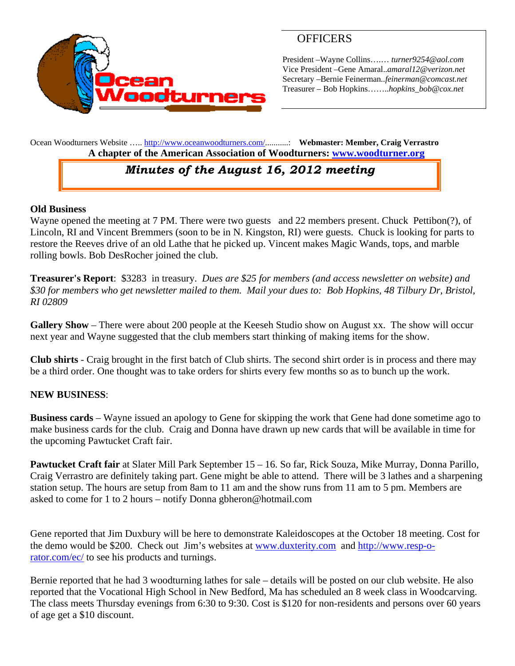

## **OFFICERS**

President –Wayne Collins….… *turner9254@aol.com*  Vice President –Gene Amaral..*amaral12@verizon.net* Secretary –Bernie Feinerman*..feinerman@comcast.net*  Treasurer – Bob Hopkins……..*hopkins\_bob@cox.net*

Ocean Woodturners Website ….. http://www.oceanwoodturners.com/...........: **Webmaster: Member, Craig Verrastro A chapter of the American Association of Woodturners: www.woodturner.org** 

## *Minutes of the August 16, 2012 meeting*

### **Old Business**

Wayne opened the meeting at 7 PM. There were two guests and 22 members present. Chuck Pettibon(?), of Lincoln, RI and Vincent Bremmers (soon to be in N. Kingston, RI) were guests. Chuck is looking for parts to restore the Reeves drive of an old Lathe that he picked up. Vincent makes Magic Wands, tops, and marble rolling bowls. Bob DesRocher joined the club.

**Treasurer's Report**: \$3283 in treasury. *Dues are \$25 for members (and access newsletter on website) and \$30 for members who get newsletter mailed to them. Mail your dues to: Bob Hopkins, 48 Tilbury Dr, Bristol, RI 02809* 

**Gallery Show** – There were about 200 people at the Keeseh Studio show on August xx. The show will occur next year and Wayne suggested that the club members start thinking of making items for the show.

**Club shirts** - Craig brought in the first batch of Club shirts. The second shirt order is in process and there may be a third order. One thought was to take orders for shirts every few months so as to bunch up the work.

### **NEW BUSINESS**:

**Business cards** – Wayne issued an apology to Gene for skipping the work that Gene had done sometime ago to make business cards for the club. Craig and Donna have drawn up new cards that will be available in time for the upcoming Pawtucket Craft fair.

**Pawtucket Craft fair** at Slater Mill Park September 15 – 16. So far, Rick Souza, Mike Murray, Donna Parillo, Craig Verrastro are definitely taking part. Gene might be able to attend. There will be 3 lathes and a sharpening station setup. The hours are setup from 8am to 11 am and the show runs from 11 am to 5 pm. Members are asked to come for 1 to 2 hours – notify Donna gbheron@hotmail.com

Gene reported that Jim Duxbury will be here to demonstrate Kaleidoscopes at the October 18 meeting. Cost for the demo would be \$200. Check out Jim's websites at www.duxterity.com and http://www.resp-orator.com/ec/ to see his products and turnings.

Bernie reported that he had 3 woodturning lathes for sale – details will be posted on our club website. He also reported that the Vocational High School in New Bedford, Ma has scheduled an 8 week class in Woodcarving. The class meets Thursday evenings from 6:30 to 9:30. Cost is \$120 for non-residents and persons over 60 years of age get a \$10 discount.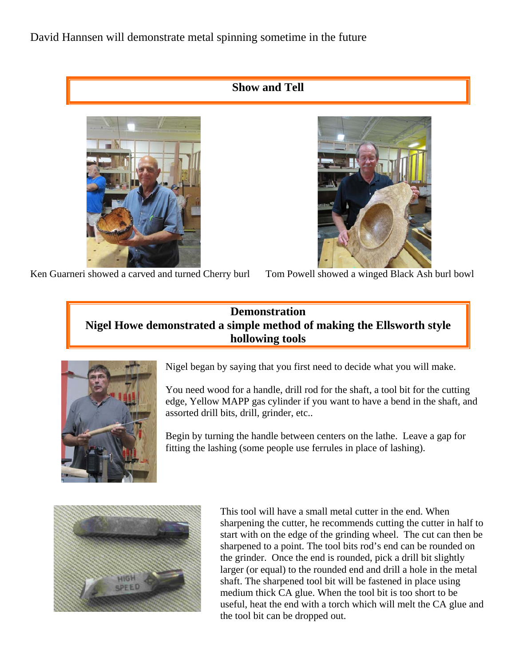David Hannsen will demonstrate metal spinning sometime in the future

### **Show and Tell**





Ken Guarneri showed a carved and turned Cherry burl Tom Powell showed a winged Black Ash burl bowl

## **Demonstration Nigel Howe demonstrated a simple method of making the Ellsworth style hollowing tools**



Nigel began by saying that you first need to decide what you will make.

You need wood for a handle, drill rod for the shaft, a tool bit for the cutting edge, Yellow MAPP gas cylinder if you want to have a bend in the shaft, and assorted drill bits, drill, grinder, etc..

Begin by turning the handle between centers on the lathe. Leave a gap for fitting the lashing (some people use ferrules in place of lashing).



This tool will have a small metal cutter in the end. When sharpening the cutter, he recommends cutting the cutter in half to start with on the edge of the grinding wheel. The cut can then be sharpened to a point. The tool bits rod's end can be rounded on the grinder. Once the end is rounded, pick a drill bit slightly larger (or equal) to the rounded end and drill a hole in the metal shaft. The sharpened tool bit will be fastened in place using medium thick CA glue. When the tool bit is too short to be useful, heat the end with a torch which will melt the CA glue and the tool bit can be dropped out.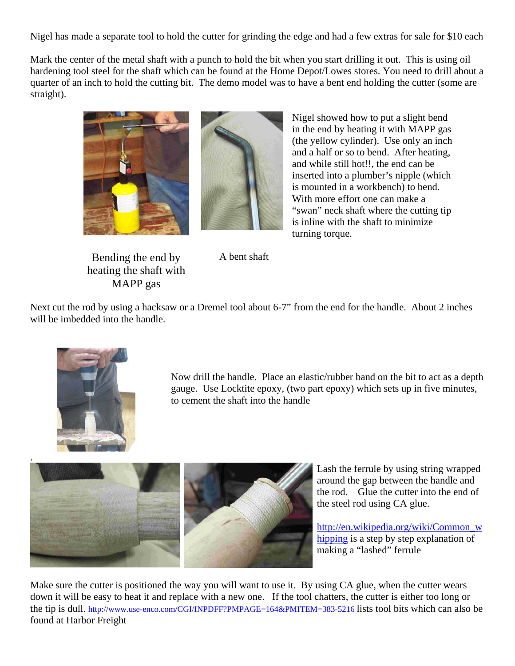Nigel has made a separate tool to hold the cutter for grinding the edge and had a few extras for sale for \$10 each

Mark the center of the metal shaft with a punch to hold the bit when you start drilling it out. This is using oil hardening tool steel for the shaft which can be found at the Home Depot/Lowes stores. You need to drill about a quarter of an inch to hold the cutting bit. The demo model was to have a bent end holding the cutter (some are straight).





Bending the end by heating the shaft with MAPP gas

Nigel showed how to put a slight bend in the end by heating it with MAPP gas (the yellow cylinder). Use only an inch and a half or so to bend. After heating, and while still hot!!, the end can be inserted into a plumber's nipple (which is mounted in a workbench) to bend. With more effort one can make a "swan" neck shaft where the cutting tip is inline with the shaft to minimize turning torque.

A bent shaft

Next cut the rod by using a hacksaw or a Dremel tool about 6-7" from the end for the handle. About 2 inches will be imbedded into the handle.



Now drill the handle. Place an elastic/rubber band on the bit to act as a depth gauge. Use Locktite epoxy, (two part epoxy) which sets up in five minutes, to cement the shaft into the handle



Lash the ferrule by using string wrapped around the gap between the handle and the rod. Glue the cutter into the end of the steel rod using CA glue.

http://en.wikipedia.org/wiki/Common\_w hipping is a step by step explanation of making a "lashed" ferrule

Make sure the cutter is positioned the way you will want to use it. By using CA glue, when the cutter wears down it will be easy to heat it and replace with a new one. If the tool chatters, the cutter is either too long or the tip is dull. http://www.use-enco.com/CGI/INPDFF?PMPAGE=164&PMITEM=383-5216 lists tool bits which can also be found at Harbor Freight